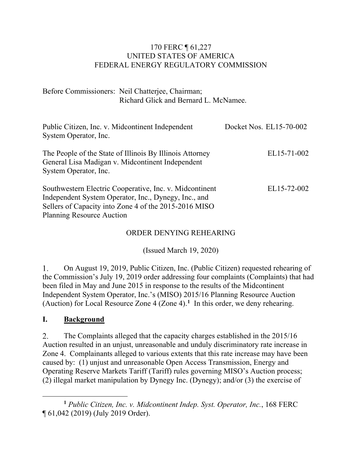### 170 FERC ¶ 61,227 UNITED STATES OF AMERICA FEDERAL ENERGY REGULATORY COMMISSION

Before Commissioners: Neil Chatterjee, Chairman; Richard Glick and Bernard L. McNamee.

| Public Citizen, Inc. v. Midcontinent Independent<br>System Operator, Inc.                                                                                                                                    | Docket Nos. EL15-70-002 |
|--------------------------------------------------------------------------------------------------------------------------------------------------------------------------------------------------------------|-------------------------|
| The People of the State of Illinois By Illinois Attorney<br>General Lisa Madigan v. Midcontinent Independent<br>System Operator, Inc.                                                                        | EL15-71-002             |
| Southwestern Electric Cooperative, Inc. v. Midcontinent<br>Independent System Operator, Inc., Dynegy, Inc., and<br>Sellers of Capacity into Zone 4 of the 2015-2016 MISO<br><b>Planning Resource Auction</b> | EL15-72-002             |

#### ORDER DENYING REHEARING

(Issued March 19, 2020)

1. On August 19, 2019, Public Citizen, Inc. (Public Citizen) requested rehearing of the Commission's July 19, 2019 order addressing four complaints (Complaints) that had been filed in May and June 2015 in response to the results of the Midcontinent Independent System Operator, Inc.'s (MISO) 2015/16 Planning Resource Auction (Auction) for Local Resource Zone 4 (Zone 4).**[1](#page-0-0)** In this order, we deny rehearing.

### **I. Background**

2. The Complaints alleged that the capacity charges established in the 2015/16 Auction resulted in an unjust, unreasonable and unduly discriminatory rate increase in Zone 4. Complainants alleged to various extents that this rate increase may have been caused by: (1) unjust and unreasonable Open Access Transmission, Energy and Operating Reserve Markets Tariff (Tariff) rules governing MISO's Auction process; (2) illegal market manipulation by Dynegy Inc. (Dynegy); and/or (3) the exercise of

<span id="page-0-0"></span>**<sup>1</sup>** *Public Citizen, Inc. v. Midcontinent Indep. Syst. Operator, Inc.*, 168 FERC ¶ 61,042 (2019) (July 2019 Order).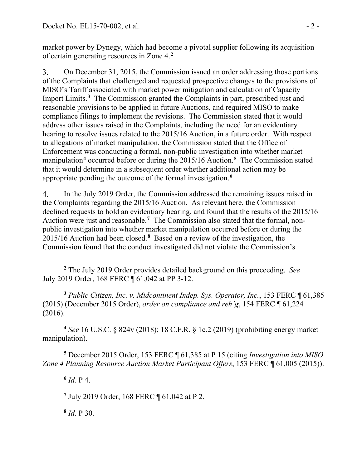market power by Dynegy, which had become a pivotal supplier following its acquisition of certain generating resources in Zone 4.**[2](#page-1-0)**

 $\overline{3}$ . On December 31, 2015, the Commission issued an order addressing those portions of the Complaints that challenged and requested prospective changes to the provisions of MISO's Tariff associated with market power mitigation and calculation of Capacity Import Limits.**[3](#page-1-1)** The Commission granted the Complaints in part, prescribed just and reasonable provisions to be applied in future Auctions, and required MISO to make compliance filings to implement the revisions. The Commission stated that it would address other issues raised in the Complaints, including the need for an evidentiary hearing to resolve issues related to the 2015/16 Auction, in a future order. With respect to allegations of market manipulation, the Commission stated that the Office of Enforcement was conducting a formal, non-public investigation into whether market manipulation**[4](#page-1-2)** occurred before or during the 2015/16 Auction. **[5](#page-1-3)** The Commission stated that it would determine in a subsequent order whether additional action may be appropriate pending the outcome of the formal investigation.**[6](#page-1-4)**

In the July 2019 Order, the Commission addressed the remaining issues raised in 4. the Complaints regarding the 2015/16 Auction. As relevant here, the Commission declined requests to hold an evidentiary hearing, and found that the results of the 2015/16 Auction were just and reasonable.**[7](#page-1-5)** The Commission also stated that the formal, nonpublic investigation into whether market manipulation occurred before or during the 2015/16 Auction had been closed. **[8](#page-1-6)** Based on a review of the investigation, the Commission found that the conduct investigated did not violate the Commission's

<span id="page-1-1"></span>**<sup>3</sup>** *Public Citizen, Inc. v. Midcontinent Indep. Sys. Operator, Inc.*, 153 FERC ¶ 61,385 (2015) (December 2015 Order), *order on compliance and reh'g*, 154 FERC ¶ 61,224 (2016).

<span id="page-1-2"></span>**<sup>4</sup>** *See* 16 U.S.C. § 824v (2018); 18 C.F.R. § 1c.2 (2019) (prohibiting energy market manipulation).

<span id="page-1-5"></span><span id="page-1-4"></span><span id="page-1-3"></span>**<sup>5</sup>** December 2015 Order, 153 FERC ¶ 61,385 at P 15 (citing *Investigation into MISO Zone 4 Planning Resource Auction Market Participant Offers*, 153 FERC ¶ 61,005 (2015)).

**<sup>6</sup>** *Id.* P 4.

**<sup>7</sup>** July 2019 Order, 168 FERC ¶ 61,042 at P 2.

<span id="page-1-6"></span>**<sup>8</sup>** *Id*. P 30.

<span id="page-1-0"></span>**<sup>2</sup>** The July 2019 Order provides detailed background on this proceeding. *See*  July 2019 Order, 168 FERC ¶ 61,042 at PP 3-12.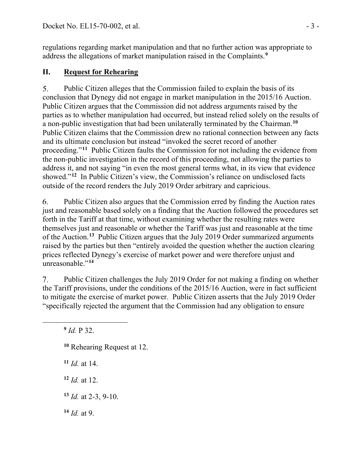regulations regarding market manipulation and that no further action was appropriate to address the allegations of market manipulation raised in the Complaints.**[9](#page-2-0)**

# **II. Request for Rehearing**

Public Citizen alleges that the Commission failed to explain the basis of its  $5<sub>1</sub>$ conclusion that Dynegy did not engage in market manipulation in the 2015/16 Auction. Public Citizen argues that the Commission did not address arguments raised by the parties as to whether manipulation had occurred, but instead relied solely on the results of a non-public investigation that had been unilaterally terminated by the Chairman.**[10](#page-2-1)** Public Citizen claims that the Commission drew no rational connection between any facts and its ultimate conclusion but instead "invoked the secret record of another proceeding."**[11](#page-2-2)** Public Citizen faults the Commission for not including the evidence from the non-public investigation in the record of this proceeding, not allowing the parties to address it, and not saying "in even the most general terms what, in its view that evidence showed."**[12](#page-2-3)** In Public Citizen's view, the Commission's reliance on undisclosed facts outside of the record renders the July 2019 Order arbitrary and capricious.

6. Public Citizen also argues that the Commission erred by finding the Auction rates just and reasonable based solely on a finding that the Auction followed the procedures set forth in the Tariff at that time, without examining whether the resulting rates were themselves just and reasonable or whether the Tariff was just and reasonable at the time of the Auction. **[13](#page-2-4)** Public Citizen argues that the July 2019 Order summarized arguments raised by the parties but then "entirely avoided the question whether the auction clearing prices reflected Dynegy's exercise of market power and were therefore unjust and unreasonable."**[14](#page-2-5)**

Public Citizen challenges the July 2019 Order for not making a finding on whether  $7.$ the Tariff provisions, under the conditions of the 2015/16 Auction, were in fact sufficient to mitigate the exercise of market power. Public Citizen asserts that the July 2019 Order "specifically rejected the argument that the Commission had any obligation to ensure

<span id="page-2-0"></span>**<sup>9</sup>** *Id.* P 32.

- <span id="page-2-1"></span>**<sup>10</sup>** Rehearing Request at 12.
- <span id="page-2-2"></span>**<sup>11</sup>** *Id.* at 14.
- <span id="page-2-3"></span>**<sup>12</sup>** *Id.* at 12.
- <span id="page-2-4"></span>**<sup>13</sup>** *Id.* at 2-3, 9-10.
- <span id="page-2-5"></span>**<sup>14</sup>** *Id.* at 9.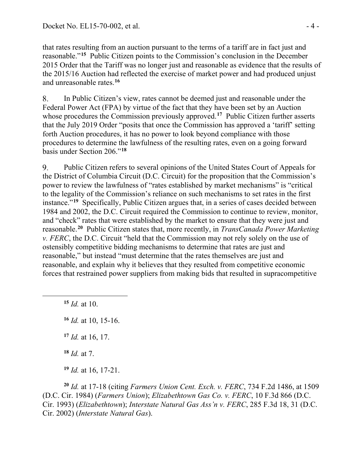that rates resulting from an auction pursuant to the terms of a tariff are in fact just and reasonable."**[15](#page-3-0)** Public Citizen points to the Commission's conclusion in the December 2015 Order that the Tariff was no longer just and reasonable as evidence that the results of the 2015/16 Auction had reflected the exercise of market power and had produced unjust and unreasonable rates.**[16](#page-3-1)**

8. In Public Citizen's view, rates cannot be deemed just and reasonable under the Federal Power Act (FPA) by virtue of the fact that they have been set by an Auction whose procedures the Commission previously approved.**[17](#page-3-2)** Public Citizen further asserts that the July 2019 Order "posits that once the Commission has approved a 'tariff' setting forth Auction procedures, it has no power to look beyond compliance with those procedures to determine the lawfulness of the resulting rates, even on a going forward basis under Section 206."**[18](#page-3-3)**

9. Public Citizen refers to several opinions of the United States Court of Appeals for the District of Columbia Circuit (D.C. Circuit) for the proposition that the Commission's power to review the lawfulness of "rates established by market mechanisms" is "critical to the legality of the Commission's reliance on such mechanisms to set rates in the first instance."**[19](#page-3-4)** Specifically, Public Citizen argues that, in a series of cases decided between 1984 and 2002, the D.C. Circuit required the Commission to continue to review, monitor, and "check" rates that were established by the market to ensure that they were just and reasonable.**[20](#page-3-5)** Public Citizen states that, more recently, in *TransCanada Power Marketing v. FERC*, the D.C. Circuit "held that the Commission may not rely solely on the use of ostensibly competitive bidding mechanisms to determine that rates are just and reasonable," but instead "must determine that the rates themselves are just and reasonable, and explain why it believes that they resulted from competitive economic forces that restrained power suppliers from making bids that resulted in supracompetitive

<span id="page-3-0"></span>**<sup>15</sup>** *Id.* at 10.

<span id="page-3-1"></span>**<sup>16</sup>** *Id.* at 10, 15-16.

<span id="page-3-2"></span>**<sup>17</sup>** *Id.* at 16, 17.

**<sup>18</sup>** *Id.* at 7.

**<sup>19</sup>** *Id.* at 16, 17-21.

<span id="page-3-5"></span><span id="page-3-4"></span><span id="page-3-3"></span>**<sup>20</sup>** *Id.* at 17-18 (citing *Farmers Union Cent. Exch. v. FERC*, 734 F.2d 1486, at 1509 (D.C. Cir. 1984) (*Farmers Union*); *Elizabethtown Gas Co. v. FERC*, 10 F.3d 866 (D.C. Cir. 1993) (*Elizabethtown*); *Interstate Natural Gas Ass'n v. FERC*, 285 F.3d 18, 31 (D.C. Cir. 2002) (*Interstate Natural Gas*).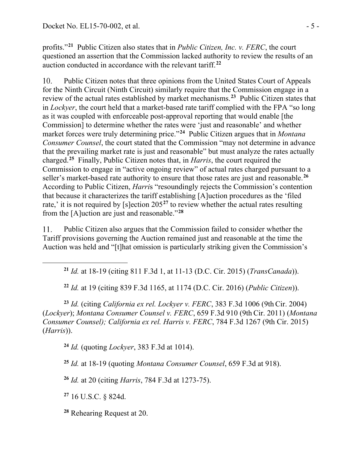profits."**[21](#page-4-0)** Public Citizen also states that in *Public Citizen, Inc. v. FERC*, the court questioned an assertion that the Commission lacked authority to review the results of an auction conducted in accordance with the relevant tariff. **[22](#page-4-1)**

 $10.$ Public Citizen notes that three opinions from the United States Court of Appeals for the Ninth Circuit (Ninth Circuit) similarly require that the Commission engage in a review of the actual rates established by market mechanisms.**[23](#page-4-2)** Public Citizen states that in *Lockyer*, the court held that a market-based rate tariff complied with the FPA "so long as it was coupled with enforceable post-approval reporting that would enable [the Commission] to determine whether the rates were 'just and reasonable' and whether market forces were truly determining price."**[24](#page-4-3)** Public Citizen argues that in *Montana Consumer Counsel*, the court stated that the Commission "may not determine in advance that the prevailing market rate is just and reasonable" but must analyze the rates actually charged.**[25](#page-4-4)** Finally, Public Citizen notes that, in *Harris*, the court required the Commission to engage in "active ongoing review" of actual rates charged pursuant to a seller's market-based rate authority to ensure that those rates are just and reasonable.**[26](#page-4-5)** According to Public Citizen, *Harri*s "resoundingly rejects the Commission's contention that because it characterizes the tariff establishing [A]uction procedures as the 'filed rate,' it is not required by [s]ection 205**[27](#page-4-6)** to review whether the actual rates resulting from the [A]uction are just and reasonable."**[28](#page-4-7)**

11. Public Citizen also argues that the Commission failed to consider whether the Tariff provisions governing the Auction remained just and reasonable at the time the Auction was held and "[t]hat omission is particularly striking given the Commission's

**<sup>21</sup>** *Id.* at 18-19 (citing 811 F.3d 1, at 11-13 (D.C. Cir. 2015) (*TransCanada*)).

**<sup>22</sup>** *Id.* at 19 (citing 839 F.3d 1165, at 1174 (D.C. Cir. 2016) (*Public Citizen*)).

<span id="page-4-3"></span><span id="page-4-2"></span><span id="page-4-1"></span><span id="page-4-0"></span>**<sup>23</sup>** *Id.* (citing *California ex rel. Lockyer v. FERC*, 383 F.3d 1006 (9thCir. 2004) (*Lockyer*); *Montana Consumer Counsel v. FERC*, 659 F.3d 910 (9th Cir. 2011) (*Montana Consumer Counsel); California ex rel. Harris v. FERC*, 784 F.3d 1267 (9th Cir. 2015) (*Harris*)).

**<sup>24</sup>** *Id.* (quoting *Lockyer*, 383 F.3d at 1014).

<span id="page-4-4"></span>**<sup>25</sup>** *Id.* at 18-19 (quoting *Montana Consumer Counsel*, 659 F.3d at 918).

<span id="page-4-5"></span>**<sup>26</sup>** *Id.* at 20 (citing *Harris*, 784 F.3d at 1273-75).

<span id="page-4-6"></span>**<sup>27</sup>** 16 U.S.C. § 824d.

<span id="page-4-7"></span>**<sup>28</sup>** Rehearing Request at 20.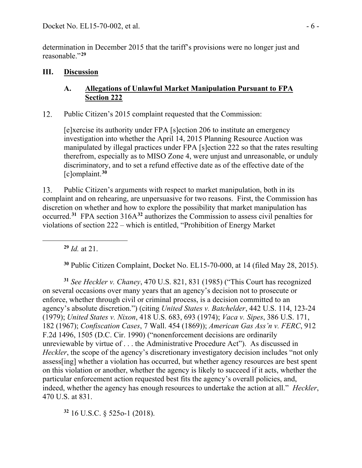determination in December 2015 that the tariff's provisions were no longer just and reasonable."**[29](#page-5-0)**

## **III. Discussion**

## **A. Allegations of Unlawful Market Manipulation Pursuant to FPA Section 222**

12. Public Citizen's 2015 complaint requested that the Commission:

[e]xercise its authority under FPA [s]ection 206 to institute an emergency investigation into whether the April 14, 2015 Planning Resource Auction was manipulated by illegal practices under FPA [s]ection 222 so that the rates resulting therefrom, especially as to MISO Zone 4, were unjust and unreasonable, or unduly discriminatory, and to set a refund effective date as of the effective date of the [c]omplaint. **[30](#page-5-1)**

Public Citizen's arguments with respect to market manipulation, both in its 13. complaint and on rehearing, are unpersuasive for two reasons. First, the Commission has discretion on whether and how to explore the possibility that market manipulation has occurred.**[31](#page-5-2)** FPA section 316A**[32](#page-5-3)** authorizes the Commission to assess civil penalties for violations of section 222 – which is entitled, "Prohibition of Energy Market

**<sup>29</sup>** *Id.* at 21.

**<sup>30</sup>** Public Citizen Complaint, Docket No. EL15-70-000, at 14 (filed May 28, 2015).

<span id="page-5-2"></span><span id="page-5-1"></span><span id="page-5-0"></span>**<sup>31</sup>** *See Heckler v. Chaney*, 470 U.S. 821, 831 (1985) ("This Court has recognized on several occasions over many years that an agency's decision not to prosecute or enforce, whether through civil or criminal process, is a decision committed to an agency's absolute discretion.") (citing *United States v. Batchelder*, 442 U.S. 114, 123-24 (1979); *United States v. Nixon*, 418 U.S. 683, 693 (1974); *Vaca v. Sipes*, 386 U.S. 171, 182 (1967); *Confiscation Cases*, 7 Wall. 454 (1869)); *American Gas Ass'n v. FERC*, 912 F.2d 1496, 1505 (D.C. Cir. 1990) ("nonenforcement decisions are ordinarily unreviewable by virtue of . . . the Administrative Procedure Act"). As discussed in *Heckler*, the scope of the agency's discretionary investigatory decision includes "not only assess[ing] whether a violation has occurred, but whether agency resources are best spent on this violation or another, whether the agency is likely to succeed if it acts, whether the particular enforcement action requested best fits the agency's overall policies, and, indeed, whether the agency has enough resources to undertake the action at all." *Heckler*, 470 U.S. at 831.

<span id="page-5-3"></span>**<sup>32</sup>** 16 U.S.C. § 525o-1 (2018).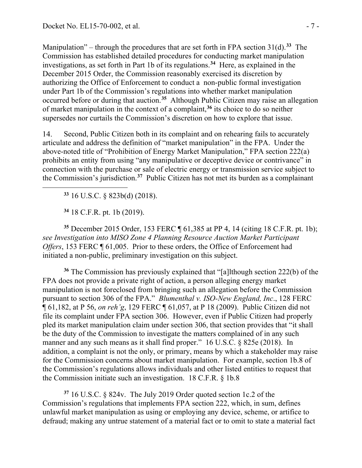Manipulation" – through the procedures that are set forth in FPA section 31(d).**[33](#page-6-0)** The Commission has established detailed procedures for conducting market manipulation investigations, as set forth in Part 1b of its regulations.**[34](#page-6-1)** Here, as explained in the December 2015 Order, the Commission reasonably exercised its discretion by authorizing the Office of Enforcement to conduct a non-public formal investigation under Part 1b of the Commission's regulations into whether market manipulation occurred before or during that auction. **[35](#page-6-2)** Although Public Citizen may raise an allegation of market manipulation in the context of a complaint,**[36](#page-6-3)** its choice to do so neither supersedes nor curtails the Commission's discretion on how to explore that issue.

14. Second, Public Citizen both in its complaint and on rehearing fails to accurately articulate and address the definition of "market manipulation" in the FPA. Under the above-noted title of "Prohibition of Energy Market Manipulation," FPA section 222(a) prohibits an entity from using "any manipulative or deceptive device or contrivance" in connection with the purchase or sale of electric energy or transmission service subject to the Commission's jurisdiction.**[37](#page-6-4)** Public Citizen has not met its burden as a complainant

**<sup>33</sup>** 16 U.S.C. § 823b(d) (2018).

**<sup>34</sup>** 18 C.F.R. pt. 1b (2019).

<span id="page-6-2"></span><span id="page-6-1"></span><span id="page-6-0"></span>**<sup>35</sup>** December 2015 Order, 153 FERC ¶ 61,385 at PP 4, 14 (citing 18 C.F.R. pt. 1b); *see Investigation into MISO Zone 4 Planning Resource Auction Market Participant Offers*, 153 FERC ¶ 61,005. Prior to these orders, the Office of Enforcement had initiated a non-public, preliminary investigation on this subject.

<span id="page-6-3"></span>**<sup>36</sup>** The Commission has previously explained that "[a]lthough section 222(b) of the FPA does not provide a private right of action, a person alleging energy market manipulation is not foreclosed from bringing such an allegation before the Commission pursuant to section 306 of the FPA." *Blumenthal v. ISO-New England, Inc*., 128 FERC ¶ 61,182, at P 56, *on reh'g*, 129 FERC ¶ 61,057, at P 18 (2009). Public Citizen did not file its complaint under FPA section 306. However, even if Public Citizen had properly pled its market manipulation claim under section 306, that section provides that "it shall be the duty of the Commission to investigate the matters complained of in any such manner and any such means as it shall find proper." 16 U.S.C. § 825e (2018). In addition, a complaint is not the only, or primary, means by which a stakeholder may raise for the Commission concerns about market manipulation. For example, section 1b.8 of the Commission's regulations allows individuals and other listed entities to request that the Commission initiate such an investigation. 18 C.F.R. § 1b.8

<span id="page-6-4"></span>**<sup>37</sup>** 16 U.S.C. § 824v. The July 2019 Order quoted section 1c.2 of the Commission's regulations that implements FPA section 222, which, in sum, defines unlawful market manipulation as using or employing any device, scheme, or artifice to defraud; making any untrue statement of a material fact or to omit to state a material fact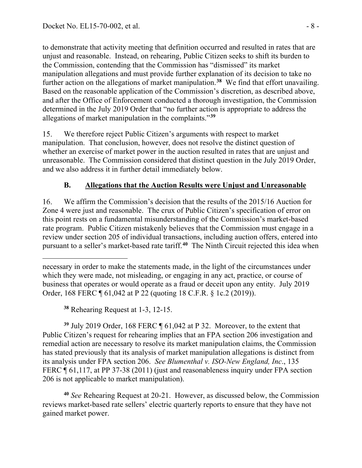to demonstrate that activity meeting that definition occurred and resulted in rates that are unjust and reasonable. Instead, on rehearing, Public Citizen seeks to shift its burden to the Commission, contending that the Commission has "dismissed" its market manipulation allegations and must provide further explanation of its decision to take no further action on the allegations of market manipulation.**[38](#page-7-0)** We find that effort unavailing. Based on the reasonable application of the Commission's discretion, as described above, and after the Office of Enforcement conducted a thorough investigation, the Commission determined in the July 2019 Order that "no further action is appropriate to address the allegations of market manipulation in the complaints."**[39](#page-7-1)**

15. We therefore reject Public Citizen's arguments with respect to market manipulation. That conclusion, however, does not resolve the distinct question of whether an exercise of market power in the auction resulted in rates that are unjust and unreasonable. The Commission considered that distinct question in the July 2019 Order, and we also address it in further detail immediately below.

# **B. Allegations that the Auction Results were Unjust and Unreasonable**

16. We affirm the Commission's decision that the results of the 2015/16 Auction for Zone 4 were just and reasonable. The crux of Public Citizen's specification of error on this point rests on a fundamental misunderstanding of the Commission's market-based rate program. Public Citizen mistakenly believes that the Commission must engage in a review under section 205 of individual transactions, including auction offers, entered into pursuant to a seller's market-based rate tariff.**[40](#page-7-2)** The Ninth Circuit rejected this idea when

**<sup>38</sup>** Rehearing Request at 1-3, 12-15.

<span id="page-7-1"></span><span id="page-7-0"></span>**<sup>39</sup>** July 2019 Order, 168 FERC ¶ 61,042 at P 32. Moreover, to the extent that Public Citizen's request for rehearing implies that an FPA section 206 investigation and remedial action are necessary to resolve its market manipulation claims, the Commission has stated previously that its analysis of market manipulation allegations is distinct from its analysis under FPA section 206. *See Blumenthal v. ISO-New England, Inc*., 135 FERC ¶ 61,117, at PP 37-38 (2011) (just and reasonableness inquiry under FPA section 206 is not applicable to market manipulation).

<span id="page-7-2"></span>**<sup>40</sup>** *See* Rehearing Request at 20-21. However, as discussed below, the Commission reviews market-based rate sellers' electric quarterly reports to ensure that they have not gained market power.

necessary in order to make the statements made, in the light of the circumstances under which they were made, not misleading, or engaging in any act, practice, or course of business that operates or would operate as a fraud or deceit upon any entity. July 2019 Order, 168 FERC ¶ 61,042 at P 22 (quoting 18 C.F.R. § 1c.2 (2019)).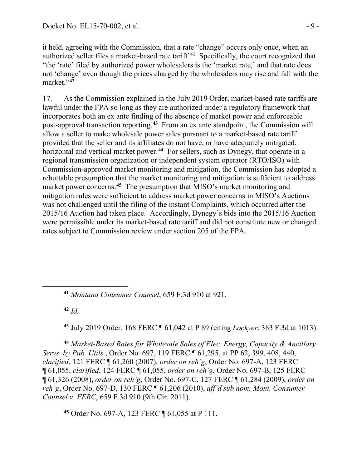it held, agreeing with the Commission, that a rate "change" occurs only once, when an authorized seller files a market-based rate tariff.**[41](#page-8-0)** Specifically, the court recognized that "the 'rate' filed by authorized power wholesalers is the 'market rate,' and that rate does not 'change' even though the prices charged by the wholesalers may rise and fall with the market."**[42](#page-8-1)**

17. As the Commission explained in the July 2019 Order, market-based rate tariffs are lawful under the FPA so long as they are authorized under a regulatory framework that incorporates both an ex ante finding of the absence of market power and enforceable post-approval transaction reporting.**[43](#page-8-2)** From an ex ante standpoint, the Commission will allow a seller to make wholesale power sales pursuant to a market-based rate tariff provided that the seller and its affiliates do not have, or have adequately mitigated, horizontal and vertical market power.**[44](#page-8-3)** For sellers, such as Dynegy, that operate in a regional transmission organization or independent system operator (RTO/ISO) with Commission-approved market monitoring and mitigation, the Commission has adopted a rebuttable presumption that the market monitoring and mitigation is sufficient to address market power concerns.<sup>[45](#page-8-4)</sup> The presumption that MISO's market monitoring and mitigation rules were sufficient to address market power concerns in MISO's Auctions was not challenged until the filing of the instant Complaints, which occurred after the 2015/16 Auction had taken place. Accordingly, Dynegy's bids into the 2015/16 Auction were permissible under its market-based rate tariff and did not constitute new or changed rates subject to Commission review under section 205 of the FPA.

<span id="page-8-0"></span>**<sup>41</sup>** *Montana Consumer Counsel*, 659 F.3d 910 at 921.

 $42$  *Id.* 

**<sup>43</sup>** July 2019 Order, 168 FERC ¶ 61,042 at P 89 (citing *Lockyer*, 383 F.3d at 1013).

<span id="page-8-3"></span><span id="page-8-2"></span><span id="page-8-1"></span>**<sup>44</sup>** *Market-Based Rates for Wholesale Sales of Elec. Energy, Capacity & Ancillary Servs. by Pub. Utils.*, Order No. 697, 119 FERC ¶ 61,295, at PP 62, 399, 408, 440, *clarified*, 121 FERC ¶ 61,260 (2007), *order on reh'g*, Order No. 697-A, 123 FERC ¶ 61,055, *clarified*, 124 FERC ¶ 61,055, *order on reh'g*, Order No. 697-B, 125 FERC ¶ 61,326 (2008), *order on reh'g*, Order No. 697-C, 127 FERC ¶ 61,284 (2009), *order on reh'g*, Order No. 697-D, 130 FERC ¶ 61,206 (2010), *aff'd sub nom. Mont. Consumer Counsel v. FERC*, 659 F.3d 910 (9th Cir. 2011).

<span id="page-8-4"></span>**<sup>45</sup>** Order No. 697-A, 123 FERC ¶ 61,055 at P 111.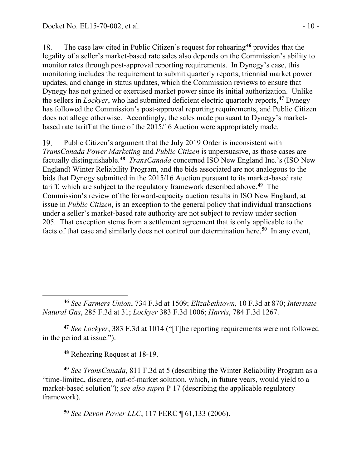The case law cited in Public Citizen's request for rehearing**[46](#page-9-0)** provides that the 18. legality of a seller's market-based rate sales also depends on the Commission's ability to monitor rates through post-approval reporting requirements. In Dynegy's case, this monitoring includes the requirement to submit quarterly reports, triennial market power updates, and change in status updates, which the Commission reviews to ensure that Dynegy has not gained or exercised market power since its initial authorization. Unlike the sellers in *Lockyer*, who had submitted deficient electric quarterly reports,**[47](#page-9-1)** Dynegy has followed the Commission's post-approval reporting requirements, and Public Citizen does not allege otherwise. Accordingly, the sales made pursuant to Dynegy's marketbased rate tariff at the time of the 2015/16 Auction were appropriately made.

19. Public Citizen's argument that the July 2019 Order is inconsistent with *TransCanada Power Marketing* and *Public Citizen* is unpersuasive, as those cases are factually distinguishable. **[48](#page-9-2)** *TransCanada* concerned ISO New England Inc.'s (ISO New England) Winter Reliability Program, and the bids associated are not analogous to the bids that Dynegy submitted in the 2015/16 Auction pursuant to its market-based rate tariff, which are subject to the regulatory framework described above. **[49](#page-9-3)** The Commission's review of the forward-capacity auction results in ISO New England, at issue in *Public Citizen*, is an exception to the general policy that individual transactions under a seller's market-based rate authority are not subject to review under section 205. That exception stems from a settlement agreement that is only applicable to the facts of that case and similarly does not control our determination here.**[50](#page-9-4)** In any event,

<span id="page-9-0"></span>**<sup>46</sup>** *See Farmers Union*, 734 F.3d at 1509; *Elizabethtown,* 10 F.3d at 870; *Interstate Natural Gas*, 285 F.3d at 31; *Lockyer* 383 F.3d 1006; *Harris*, 784 F.3d 1267.

<span id="page-9-1"></span>**<sup>47</sup>** *See Lockyer*, 383 F.3d at 1014 ("[T]he reporting requirements were not followed in the period at issue.").

**<sup>48</sup>** Rehearing Request at 18-19.

<span id="page-9-4"></span><span id="page-9-3"></span><span id="page-9-2"></span>**<sup>49</sup>** *See TransCanada*, 811 F.3d at 5 (describing the Winter Reliability Program as a "time-limited, discrete, out-of-market solution, which, in future years, would yield to a market-based solution"); *see also supra* P 17 (describing the applicable regulatory framework).

**<sup>50</sup>** *See Devon Power LLC*, 117 FERC ¶ 61,133 (2006).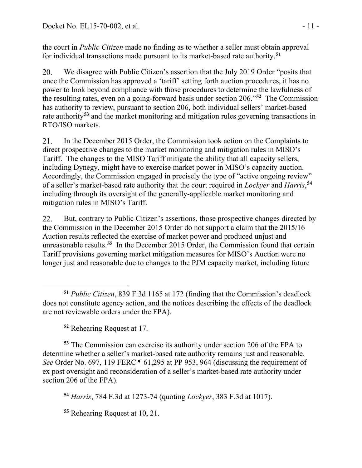the court in *Public Citizen* made no finding as to whether a seller must obtain approval for individual transactions made pursuant to its market-based rate authority. **[51](#page-10-0)**

20. We disagree with Public Citizen's assertion that the July 2019 Order "posits that once the Commission has approved a 'tariff' setting forth auction procedures, it has no power to look beyond compliance with those procedures to determine the lawfulness of the resulting rates, even on a going-forward basis under section 206."**[52](#page-10-1)** The Commission has authority to review, pursuant to section 206, both individual sellers' market-based rate authority**[53](#page-10-2)** and the market monitoring and mitigation rules governing transactions in RTO/ISO markets.

21. In the December 2015 Order, the Commission took action on the Complaints to direct prospective changes to the market monitoring and mitigation rules in MISO's Tariff. The changes to the MISO Tariff mitigate the ability that all capacity sellers, including Dynegy, might have to exercise market power in MISO's capacity auction. Accordingly, the Commission engaged in precisely the type of "active ongoing review" of a seller's market-based rate authority that the court required in *Lockyer* and *Harris*, **[54](#page-10-3)** including through its oversight of the generally-applicable market monitoring and mitigation rules in MISO's Tariff.

22. But, contrary to Public Citizen's assertions, those prospective changes directed by the Commission in the December 2015 Order do not support a claim that the 2015/16 Auction results reflected the exercise of market power and produced unjust and unreasonable results.**[55](#page-10-4)** In the December 2015 Order, the Commission found that certain Tariff provisions governing market mitigation measures for MISO's Auction were no longer just and reasonable due to changes to the PJM capacity market, including future

**<sup>52</sup>** Rehearing Request at 17.

<span id="page-10-2"></span><span id="page-10-1"></span>**<sup>53</sup>** The Commission can exercise its authority under section 206 of the FPA to determine whether a seller's market-based rate authority remains just and reasonable. *See* Order No. 697, 119 FERC ¶ 61,295 at PP 953, 964 (discussing the requirement of ex post oversight and reconsideration of a seller's market-based rate authority under section 206 of the FPA).

<span id="page-10-3"></span>**<sup>54</sup>** *Harris*, 784 F.3d at 1273-74 (quoting *Lockyer*, 383 F.3d at 1017).

<span id="page-10-4"></span>**<sup>55</sup>** Rehearing Request at 10, 21.

<span id="page-10-0"></span>**<sup>51</sup>** *Public Citizen*, 839 F.3d 1165 at 172 (finding that the Commission's deadlock does not constitute agency action, and the notices describing the effects of the deadlock are not reviewable orders under the FPA).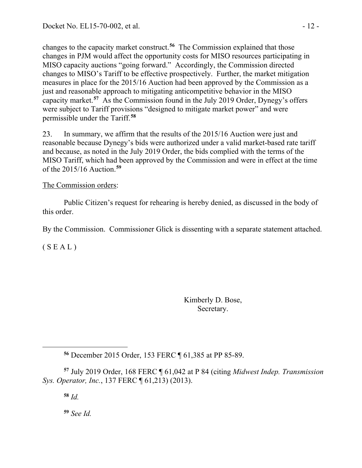changes to the capacity market construct. **[56](#page-11-0)** The Commission explained that those changes in PJM would affect the opportunity costs for MISO resources participating in MISO capacity auctions "going forward." Accordingly, the Commission directed changes to MISO's Tariff to be effective prospectively. Further, the market mitigation measures in place for the 2015/16 Auction had been approved by the Commission as a just and reasonable approach to mitigating anticompetitive behavior in the MISO capacity market.**[57](#page-11-1)** As the Commission found in the July 2019 Order, Dynegy's offers were subject to Tariff provisions "designed to mitigate market power" and were permissible under the Tariff.**[58](#page-11-2)**

23. In summary, we affirm that the results of the 2015/16 Auction were just and reasonable because Dynegy's bids were authorized under a valid market-based rate tariff and because, as noted in the July 2019 Order, the bids complied with the terms of the MISO Tariff, which had been approved by the Commission and were in effect at the time of the 2015/16 Auction.**[59](#page-11-3)**

## The Commission orders:

Public Citizen's request for rehearing is hereby denied, as discussed in the body of this order.

By the Commission. Commissioner Glick is dissenting with a separate statement attached.

 $(S E A L)$ 

Kimberly D. Bose, Secretary.

<span id="page-11-3"></span><span id="page-11-2"></span><span id="page-11-1"></span><span id="page-11-0"></span>**<sup>57</sup>** July 2019 Order, 168 FERC ¶ 61,042 at P 84 (citing *Midwest Indep. Transmission Sys. Operator, Inc.*, 137 FERC ¶ 61,213) (2013).

**<sup>58</sup>** *Id.*

**<sup>59</sup>** *See Id.*

**<sup>56</sup>** December 2015 Order, 153 FERC ¶ 61,385 at PP 85-89.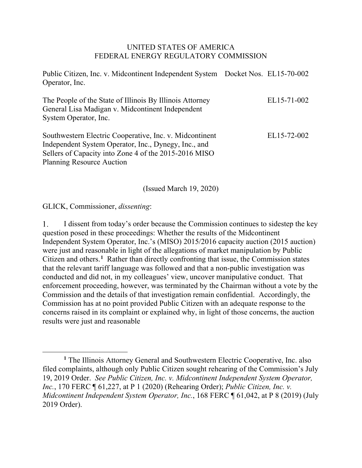#### UNITED STATES OF AMERICA FEDERAL ENERGY REGULATORY COMMISSION

Public Citizen, Inc. v. Midcontinent Independent System Docket Nos. EL15-70-002 Operator, Inc.

| The People of the State of Illinois By Illinois Attorney<br>General Lisa Madigan v. Midcontinent Independent<br>System Operator, Inc. | EL15-71-002 |
|---------------------------------------------------------------------------------------------------------------------------------------|-------------|
| Southwestern Electric Cooperative, Inc. v. Midcontinent                                                                               | EL15-72-002 |
| Independent System Operator, Inc., Dynegy, Inc., and                                                                                  |             |
| Sellers of Capacity into Zone 4 of the 2015-2016 MISO                                                                                 |             |
| <b>Planning Resource Auction</b>                                                                                                      |             |

(Issued March 19, 2020)

GLICK, Commissioner, *dissenting*:

 $\mathbf{1}$ . I dissent from today's order because the Commission continues to sidestep the key question posed in these proceedings: Whether the results of the Midcontinent Independent System Operator, Inc.'s (MISO) 2015/2016 capacity auction (2015 auction) were just and reasonable in light of the allegations of market manipulation by Public Citizen and others. **[1](#page-12-0)** Rather than directly confronting that issue, the Commission states that the relevant tariff language was followed and that a non-public investigation was conducted and did not, in my colleagues' view, uncover manipulative conduct. That enforcement proceeding, however, was terminated by the Chairman without a vote by the Commission and the details of that investigation remain confidential. Accordingly, the Commission has at no point provided Public Citizen with an adequate response to the concerns raised in its complaint or explained why, in light of those concerns, the auction results were just and reasonable

<span id="page-12-0"></span>**<sup>1</sup>** The Illinois Attorney General and Southwestern Electric Cooperative, Inc. also filed complaints, although only Public Citizen sought rehearing of the Commission's July 19, 2019 Order. *See Public Citizen, Inc. v. Midcontinent Independent System Operator, Inc.*, 170 FERC ¶ 61,227, at P 1 (2020) (Rehearing Order); *Public Citizen, Inc. v. Midcontinent Independent System Operator, Inc.*, 168 FERC ¶ 61,042, at P 8 (2019) (July 2019 Order).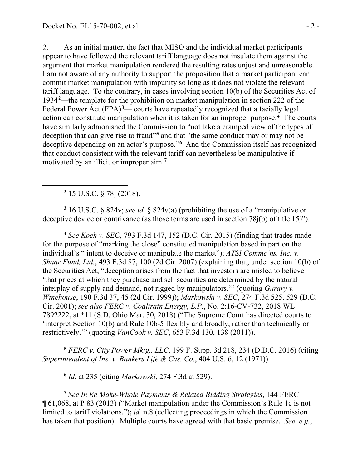2. As an initial matter, the fact that MISO and the individual market participants appear to have followed the relevant tariff language does not insulate them against the argument that market manipulation rendered the resulting rates unjust and unreasonable. I am not aware of any authority to support the proposition that a market participant can commit market manipulation with impunity so long as it does not violate the relevant tariff language. To the contrary, in cases involving section 10(b) of the Securities Act of 1934**[2](#page-13-0)** —the template for the prohibition on market manipulation in section 222 of the Federal Power Act (FPA)<sup>[3](#page-13-1)</sup>— courts have repeatedly recognized that a facially legal action can constitute manipulation when it is taken for an improper purpose.**[4](#page-13-2)** The courts have similarly admonished the Commission to "not take a cramped view of the types of deception that can give rise to fraud"**[5](#page-13-3)** and that "the same conduct may or may not be deceptive depending on an actor's purpose."**[6](#page-13-4)** And the Commission itself has recognized that conduct consistent with the relevant tariff can nevertheless be manipulative if motivated by an illicit or improper aim.**[7](#page-13-5)**

**<sup>2</sup>** 15 U.S.C. § 78j (2018).

<span id="page-13-1"></span><span id="page-13-0"></span>**<sup>3</sup>** 16 U.S.C. § 824v; *see id.* § 824v(a) (prohibiting the use of a "manipulative or deceptive device or contrivance (as those terms are used in section 78j(b) of title 15)").

<span id="page-13-2"></span>**<sup>4</sup>** *See Koch v. SEC*, 793 F.3d 147, 152 (D.C. Cir. 2015) (finding that trades made for the purpose of "marking the close" constituted manipulation based in part on the individual's " intent to deceive or manipulate the market"); *ATSI Commc'ns, Inc. v. Shaar Fund, Ltd.*, 493 F.3d 87, 100 (2d Cir. 2007) (explaining that, under section 10(b) of the Securities Act, "deception arises from the fact that investors are misled to believe 'that prices at which they purchase and sell securities are determined by the natural interplay of supply and demand, not rigged by manipulators.'" (quoting *Gurary v. Winehouse*, 190 F.3d 37, 45 (2d Cir. 1999)); *Markowski v. SEC*, 274 F.3d 525, 529 (D.C. Cir. 2001); *see also FERC v. Coaltrain Energy, L.P.*, No. 2:16-CV-732, 2018 WL 7892222, at \*11 (S.D. Ohio Mar. 30, 2018) ("The Supreme Court has directed courts to 'interpret Section 10(b) and Rule 10b-5 flexibly and broadly, rather than technically or restrictively.'" (quoting *VanCook v. SEC*, 653 F.3d 130, 138 (2011)).

<span id="page-13-3"></span>**<sup>5</sup>** *FERC v. City Power Mktg., LLC*, 199 F. Supp. 3d 218, 234 (D.D.C. 2016) (citing *Superintendent of Ins. v. Bankers Life & Cas. Co.*, 404 U.S. 6, 12 (1971)).

**<sup>6</sup>** *Id.* at 235 (citing *Markowski*, 274 F.3d at 529).

<span id="page-13-5"></span><span id="page-13-4"></span>**<sup>7</sup>** *See In Re Make-Whole Payments & Related Bidding Strategies*, 144 FERC ¶ 61,068, at P 83 (2013) ("Market manipulation under the Commission's Rule 1c is not limited to tariff violations."); *id.* n.8 (collecting proceedings in which the Commission has taken that position). Multiple courts have agreed with that basic premise. *See, e.g.*,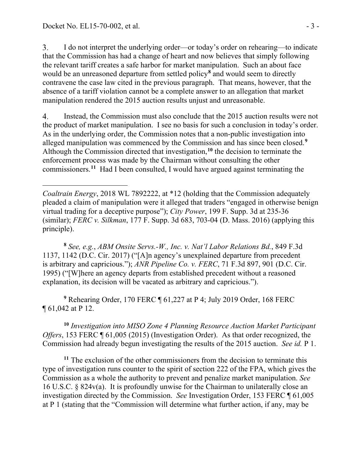$3<sub>1</sub>$ I do not interpret the underlying order—or today's order on rehearing—to indicate that the Commission has had a change of heart and now believes that simply following the relevant tariff creates a safe harbor for market manipulation. Such an about face would be an unreasoned departure from settled policy**[8](#page-14-0)** and would seem to directly contravene the case law cited in the previous paragraph. That means, however, that the absence of a tariff violation cannot be a complete answer to an allegation that market manipulation rendered the 2015 auction results unjust and unreasonable.

4. Instead, the Commission must also conclude that the 2015 auction results were not the product of market manipulation. I see no basis for such a conclusion in today's order. As in the underlying order, the Commission notes that a non-public investigation into alleged manipulation was commenced by the Commission and has since been closed.**[9](#page-14-1)** Although the Commission directed that investigation,**[10](#page-14-2)** the decision to terminate the enforcement process was made by the Chairman without consulting the other commissioners.**[11](#page-14-3)** Had I been consulted, I would have argued against terminating the

*Coaltrain Energy*, 2018 WL 7892222, at \*12 (holding that the Commission adequately pleaded a claim of manipulation were it alleged that traders "engaged in otherwise benign virtual trading for a deceptive purpose"); *City Power*, 199 F. Supp. 3d at 235-36 (similar); *FERC v. Silkman*, 177 F. Supp. 3d 683, 703-04 (D. Mass. 2016) (applying this principle).

<span id="page-14-0"></span>**<sup>8</sup>** *See, e.g.*, *ABM Onsite Servs.-W., Inc. v. Nat'l Labor Relations Bd.*, 849 F.3d 1137, 1142 (D.C. Cir. 2017) ("[A]n agency's unexplained departure from precedent is arbitrary and capricious."); *ANR Pipeline Co. v. FERC*, 71 F.3d 897, 901 (D.C. Cir. 1995) ("[W]here an agency departs from established precedent without a reasoned explanation, its decision will be vacated as arbitrary and capricious.").

<span id="page-14-1"></span>**<sup>9</sup>** Rehearing Order, 170 FERC ¶ 61,227 at P 4; July 2019 Order, 168 FERC ¶ 61,042 at P 12.

<span id="page-14-2"></span>**<sup>10</sup>** *Investigation into MISO Zone 4 Planning Resource Auction Market Participant Offers*, 153 FERC ¶ 61,005 (2015) (Investigation Order). As that order recognized, the Commission had already begun investigating the results of the 2015 auction. *See id.* P 1.

<span id="page-14-3"></span>**<sup>11</sup>** The exclusion of the other commissioners from the decision to terminate this type of investigation runs counter to the spirit of section 222 of the FPA, which gives the Commission as a whole the authority to prevent and penalize market manipulation. *See*  16 U.S.C. § 824v(a). It is profoundly unwise for the Chairman to unilaterally close an investigation directed by the Commission. *See* Investigation Order, 153 FERC ¶ 61,005 at P 1 (stating that the "Commission will determine what further action, if any, may be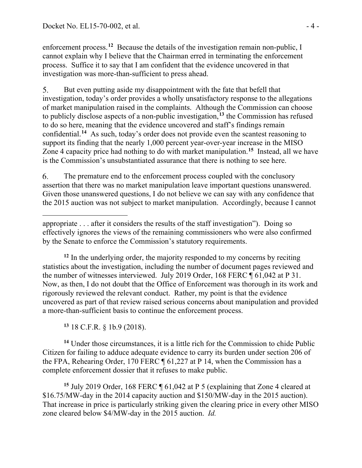enforcement process.**[12](#page-15-0)** Because the details of the investigation remain non-public, I cannot explain why I believe that the Chairman erred in terminating the enforcement process. Suffice it to say that I am confident that the evidence uncovered in that investigation was more-than-sufficient to press ahead.

5. But even putting aside my disappointment with the fate that befell that investigation, today's order provides a wholly unsatisfactory response to the allegations of market manipulation raised in the complaints. Although the Commission can choose to publicly disclose aspects of a non-public investigation,**[13](#page-15-1)** the Commission has refused to do so here, meaning that the evidence uncovered and staff's findings remain confidential. **[14](#page-15-2)** As such, today's order does not provide even the scantest reasoning to support its finding that the nearly 1,000 percent year-over-year increase in the MISO Zone 4 capacity price had nothing to do with market manipulation.**[15](#page-15-3)** Instead, all we have is the Commission's unsubstantiated assurance that there is nothing to see here.

6. The premature end to the enforcement process coupled with the conclusory assertion that there was no market manipulation leave important questions unanswered. Given those unanswered questions, I do not believe we can say with any confidence that the 2015 auction was not subject to market manipulation. Accordingly, because I cannot

<span id="page-15-0"></span>**<sup>12</sup>** In the underlying order, the majority responded to my concerns by reciting statistics about the investigation, including the number of document pages reviewed and the number of witnesses interviewed. July 2019 Order, 168 FERC ¶ 61,042 at P 31. Now, as then, I do not doubt that the Office of Enforcement was thorough in its work and rigorously reviewed the relevant conduct. Rather, my point is that the evidence uncovered as part of that review raised serious concerns about manipulation and provided a more-than-sufficient basis to continue the enforcement process.

**<sup>13</sup>** 18 C.F.R. § 1b.9 (2018).

<span id="page-15-2"></span><span id="page-15-1"></span>**<sup>14</sup>** Under those circumstances, it is a little rich for the Commission to chide Public Citizen for failing to adduce adequate evidence to carry its burden under section 206 of the FPA, Rehearing Order, 170 FERC ¶ 61,227 at P 14, when the Commission has a complete enforcement dossier that it refuses to make public.

<span id="page-15-3"></span>**<sup>15</sup>** July 2019 Order, 168 FERC ¶ 61,042 at P 5 (explaining that Zone 4 cleared at \$16.75/MW-day in the 2014 capacity auction and \$150/MW-day in the 2015 auction). That increase in price is particularly striking given the clearing price in every other MISO zone cleared below \$4/MW-day in the 2015 auction. *Id.* 

appropriate . . . after it considers the results of the staff investigation"). Doing so effectively ignores the views of the remaining commissioners who were also confirmed by the Senate to enforce the Commission's statutory requirements.